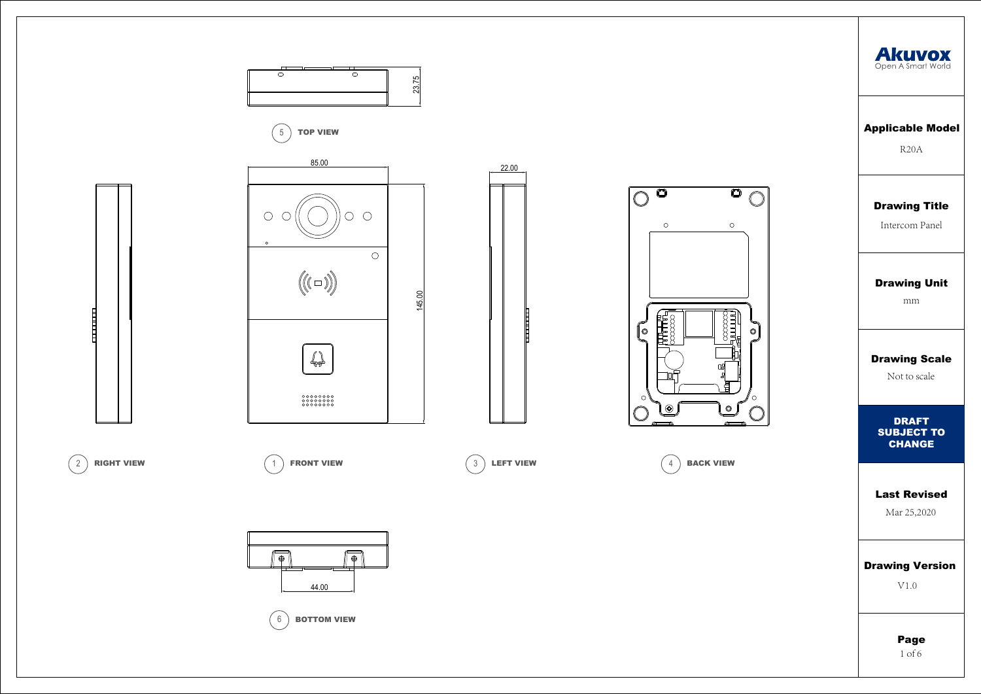## Drawing Title

Intercom Panel

## Applicable Model

R20A

# Drawing Scale

Not to scale

## Drawing Unit

mm

#### Last Revised

Mar 25,2020

## Drawing Version

V1.0

Page 1 of 6



DRAFT SUBJECT TO CHANGE



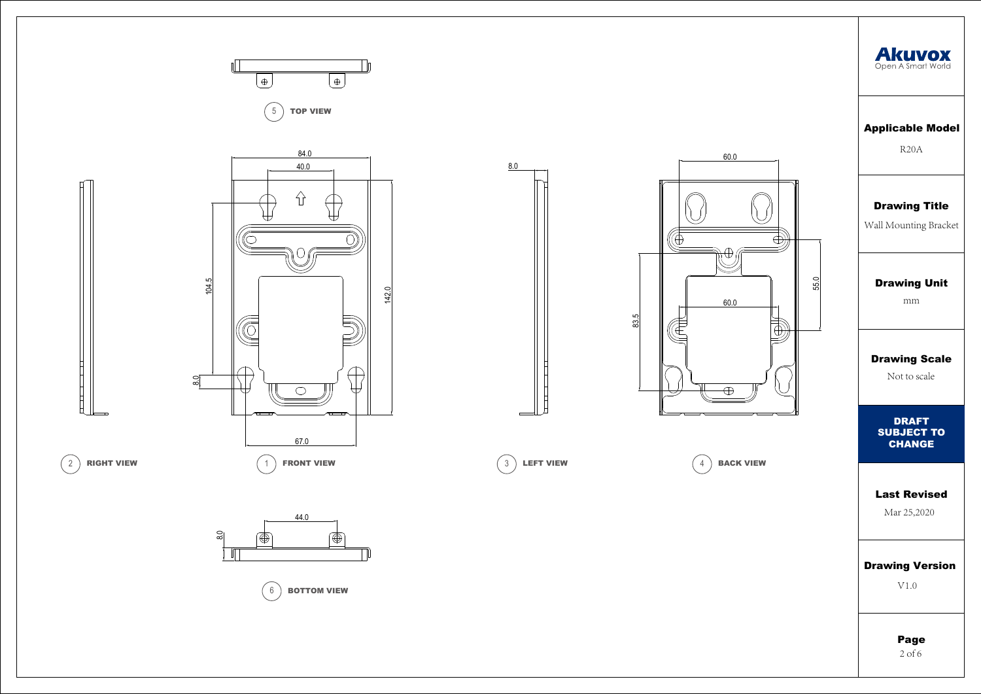



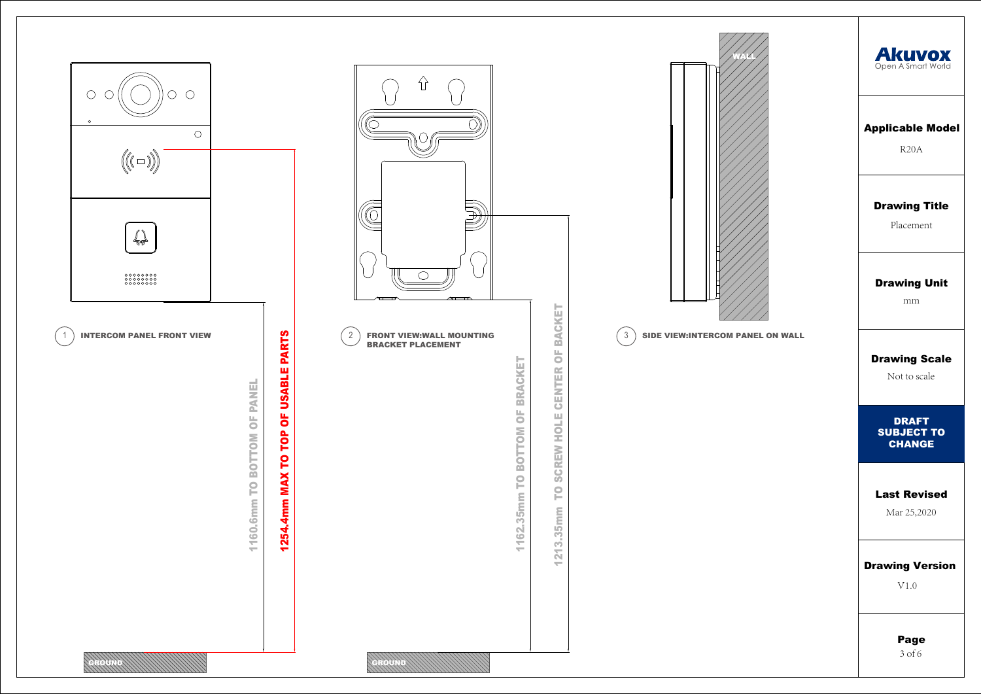





BRACKET PLACEMENT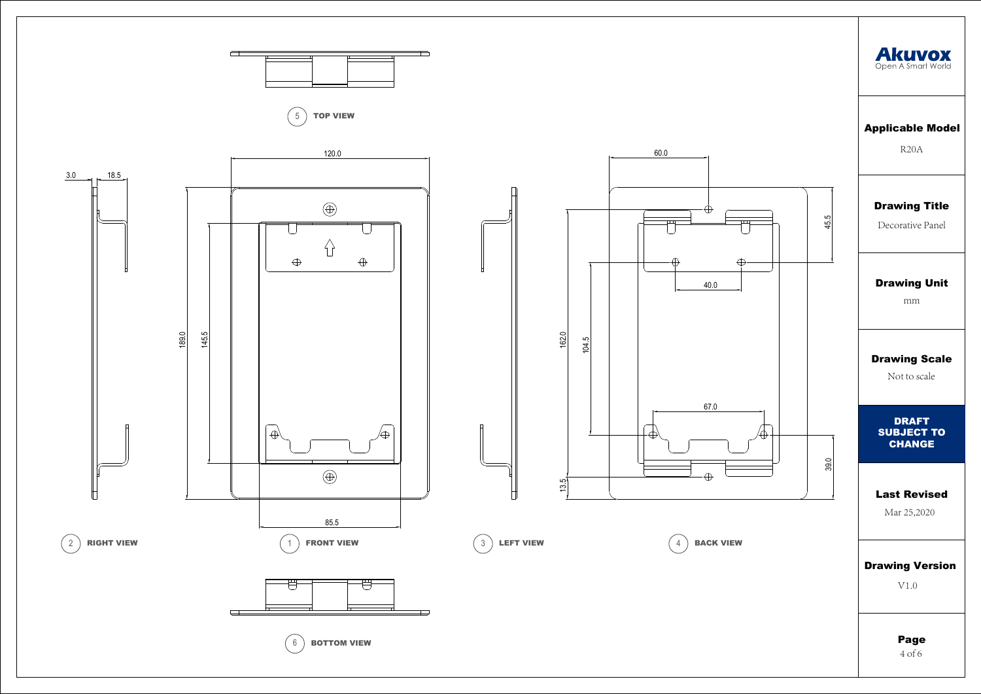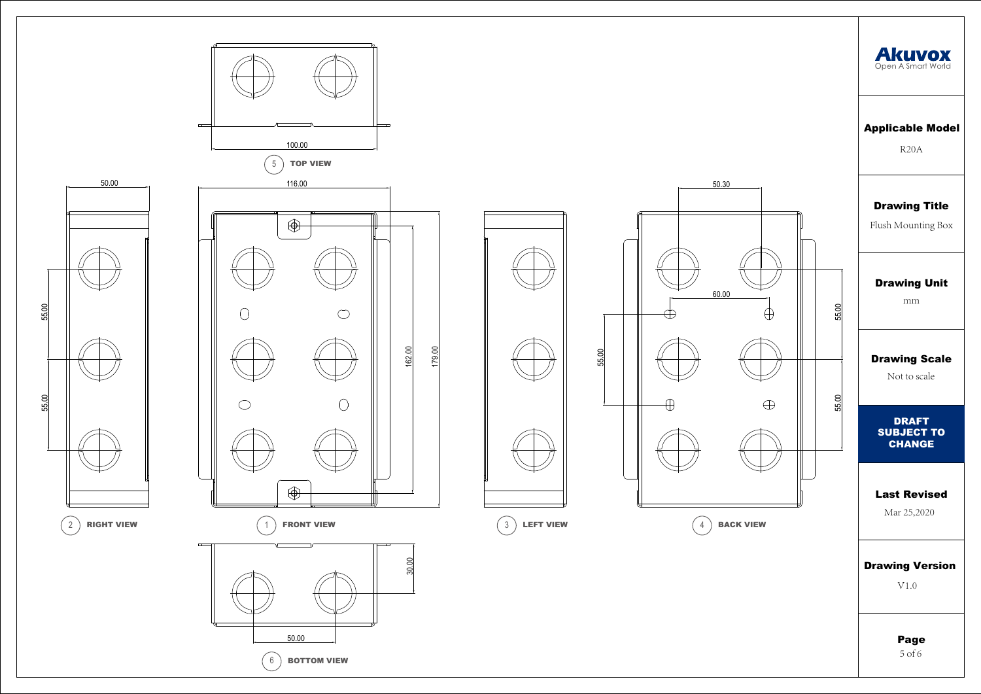